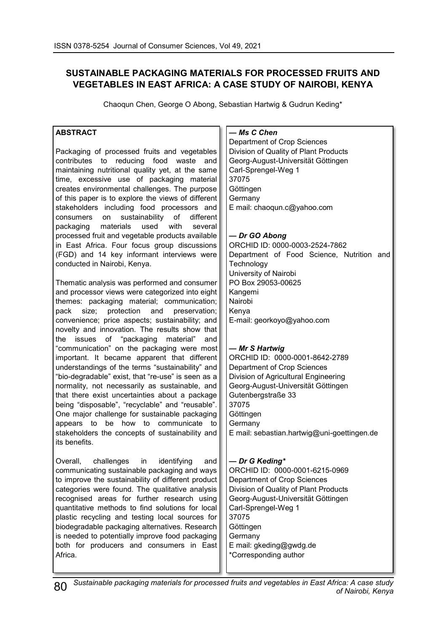# **SUSTAINABLE PACKAGING MATERIALS FOR PROCESSED FRUITS AND VEGETABLES IN EAST AFRICA: A CASE STUDY OF NAIROBI, KENYA**

Chaoqun Chen, George O Abong, Sebastian Hartwig & Gudrun Keding\*

## **ABSTRACT**

Packaging of processed fruits and vegetables contributes to reducing food waste and maintaining nutritional quality yet, at the same time, excessive use of packaging material creates environmental challenges. The purpose of this paper is to explore the views of different stakeholders including food processors and consumers on sustainability of different packaging materials used with several processed fruit and vegetable products available in East Africa. Four focus group discussions (FGD) and 14 key informant interviews were conducted in Nairobi, Kenya.

Thematic analysis was performed and consumer and processor views were categorized into eight themes: packaging material; communication; pack size; protection and preservation; convenience; price aspects; sustainability; and novelty and innovation. The results show that the issues of "packaging material" and "communication" on the packaging were most important. It became apparent that different understandings of the terms "sustainability" and "bio-degradable" exist, that "re-use" is seen as a normality, not necessarily as sustainable, and that there exist uncertainties about a package being "disposable", "recyclable" and "reusable". One major challenge for sustainable packaging appears to be how to communicate to stakeholders the concepts of sustainability and its benefits.

Overall, challenges in identifying and communicating sustainable packaging and ways to improve the sustainability of different product categories were found. The qualitative analysis recognised areas for further research using quantitative methods to find solutions for local plastic recycling and testing local sources for biodegradable packaging alternatives. Research is needed to potentially improve food packaging both for producers and consumers in East Africa.

## *— Ms C Chen*

Department of Crop Sciences Division of Quality of Plant Products Georg-August-Universität Göttingen Carl-Sprengel-Weg 1 37075 Göttingen Germany E mail: chaoqun.c@yahoo.com

## *— Dr GO Abong*

ORCHID ID: 0000-0003-2524-7862 Department of Food Science, Nutrition and **Technology** University of Nairobi PO Box 29053-00625 Kangemi Nairobi Kenya E-mail: georkoyo@yahoo.com

## **—** *Mr S Hartwig*

ORCHID ID: 0000-0001-8642-2789 Department of Crop Sciences Division of Agricultural Engineering Georg-August-Universität Göttingen Gutenbergstraße 33 37075 **Göttingen Germany** E mail: sebastian.hartwig@uni-goettingen.de

## **—** *Dr G Keding\**

ORCHID ID: 0000-0001-6215-0969 Department of Crop Sciences Division of Quality of Plant Products Georg-August-Universität Göttingen Carl-Sprengel-Weg 1 37075 Göttingen **Germany** E mail: gkeding@gwdg.de **Corresponding author** 

*Sustainable packaging materials for processed fruits and vegetables in East Africa: A case study* 80 *of Nairobi, Kenya*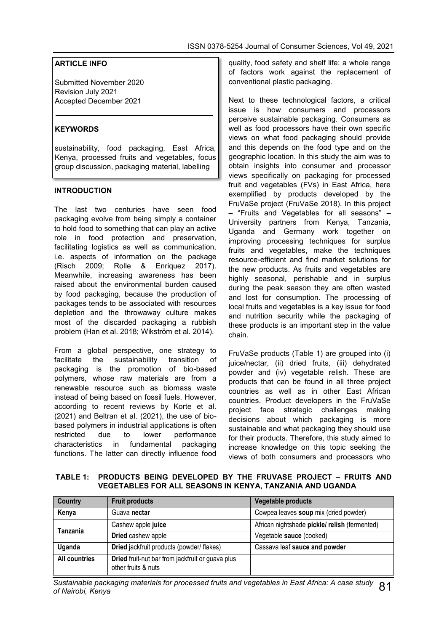## **ARTICLE INFO**

Submitted November 2020 Revision July 2021 Accepted December 2021

### **KEYWORDS**

sustainability, food packaging, East Africa, Kenya, processed fruits and vegetables, focus group discussion, packaging material, labelling

#### **INTRODUCTION**

The last two centuries have seen food packaging evolve from being simply a container to hold food to something that can play an active role in food protection and preservation, facilitating logistics as well as communication, i.e. aspects of information on the package (Risch 2009; Rolle & Enriquez 2017). Meanwhile, increasing awareness has been raised about the environmental burden caused by food packaging, because the production of packages tends to be associated with resources depletion and the throwaway culture makes most of the discarded packaging a rubbish problem (Han et al. 2018; Wikström et al. 2014).

From a global perspective, one strategy to facilitate the sustainability transition of packaging is the promotion of bio-based polymers, whose raw materials are from a renewable resource such as biomass waste instead of being based on fossil fuels. However, according to recent reviews by Korte et al. (2021) and Beltran et al. (2021), the use of biobased polymers in industrial applications is often restricted due to lower performance characteristics in fundamental packaging functions. The latter can directly influence food

quality, food safety and shelf life: a whole range of factors work against the replacement of conventional plastic packaging.

Next to these technological factors, a critical issue is how consumers and processors perceive sustainable packaging. Consumers as well as food processors have their own specific views on what food packaging should provide and this depends on the food type and on the geographic location. In this study the aim was to obtain insights into consumer and processor views specifically on packaging for processed fruit and vegetables (FVs) in East Africa, here exemplified by products developed by the FruVaSe project (FruVaSe 2018). In this project – "Fruits and Vegetables for all seasons" – University partners from Kenya, Tanzania, Uganda and Germany work together on improving processing techniques for surplus fruits and vegetables, make the techniques resource-efficient and find market solutions for the new products. As fruits and vegetables are highly seasonal, perishable and in surplus during the peak season they are often wasted and lost for consumption. The processing of local fruits and vegetables is a key issue for food and nutrition security while the packaging of these products is an important step in the value chain.

FruVaSe products (Table 1) are grouped into (i) juice/nectar, (ii) dried fruits, (iii) dehydrated powder and (iv) vegetable relish. These are products that can be found in all three project countries as well as in other East African countries. Product developers in the FruVaSe project face strategic challenges making decisions about which packaging is more sustainable and what packaging they should use for their products. Therefore, this study aimed to increase knowledge on this topic seeking the views of both consumers and processors who

**TABLE 1: PRODUCTS BEING DEVELOPED BY THE FRUVASE PROJECT – FRUITS AND VEGETABLES FOR ALL SEASONS IN KENYA, TANZANIA AND UGANDA**

| Country              | <b>Fruit products</b>                                                   | Vegetable products                           |  |
|----------------------|-------------------------------------------------------------------------|----------------------------------------------|--|
| Kenya                | Guava nectar                                                            | Cowpea leaves soup mix (dried powder)        |  |
|                      | Cashew apple juice                                                      | African nightshade pickle/relish (fermented) |  |
| Tanzania             | Dried cashew apple                                                      | Vegetable sauce (cooked)                     |  |
| Uganda               | Dried jackfruit products (powder/ flakes)                               | Cassava leaf sauce and powder                |  |
| <b>All countries</b> | Dried fruit-nut bar from jackfruit or guava plus<br>other fruits & nuts |                                              |  |

*Sustainable packaging materials for processed fruits and vegetables in East Africa: A case study 81*<br>of Nairobi, Kenya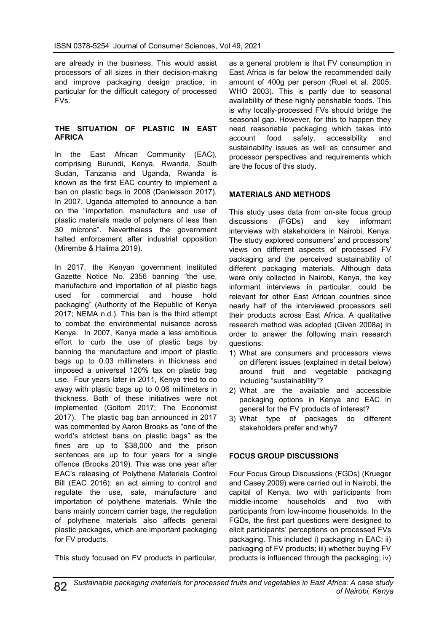are already in the business. This would assist processors of all sizes in their decision-making and improve packaging design practice, in particular for the difficult category of processed FVs.

#### **THE SITUATION OF PLASTIC IN EAST AFRICA**

In the East African Community (EAC), comprising Burundi, Kenya, Rwanda, South Sudan, Tanzania and Uganda, Rwanda is known as the first EAC country to implement a ban on plastic bags in 2008 (Danielsson 2017). In 2007, Uganda attempted to announce a ban on the "importation, manufacture and use of plastic materials made of polymers of less than 30 microns". Nevertheless the government halted enforcement after industrial opposition (Mirembe & Halima 2019).

In 2017, the Kenyan government instituted Gazette Notice No. 2356 banning "the use, manufacture and importation of all plastic bags used for commercial and house hold packaging" (Authority of the Republic of Kenya 2017; NEMA n.d.). This ban is the third attempt to combat the environmental nuisance across Kenya. In 2007, Kenya made a less ambitious effort to curb the use of plastic bags by banning the manufacture and import of plastic bags up to 0.03 millimeters in thickness and imposed a universal 120% tax on plastic bag use. Four years later in 2011, Kenya tried to do away with plastic bags up to 0.06 millimeters in thickness. Both of these initiatives were not implemented (Goitom 2017; The Economist 2017). The plastic bag ban announced in 2017 was commented by Aaron Brooks as "one of the world's strictest bans on plastic bags" as the fines are up to \$38,000 and the prison sentences are up to four years for a single offence (Brooks 2019). This was one year after EAC's releasing of Polythene Materials Control Bill (EAC 2016): an act aiming to control and regulate the use, sale, manufacture and importation of polythene materials. While the bans mainly concern carrier bags, the regulation of polythene materials also affects general plastic packages, which are important packaging for FV products.

This study focused on FV products in particular,

as a general problem is that FV consumption in East Africa is far below the recommended daily amount of 400g per person (Ruel et al. 2005; WHO 2003). This is partly due to seasonal availability of these highly perishable foods. This is why locally-processed FVs should bridge the seasonal gap. However, for this to happen they need reasonable packaging which takes into account food safety, accessibility and sustainability issues as well as consumer and processor perspectives and requirements which are the focus of this study.

#### **MATERIALS AND METHODS**

This study uses data from on-site focus group discussions (FGDs) and key informant interviews with stakeholders in Nairobi, Kenya. The study explored consumers' and processors' views on different aspects of processed FV packaging and the perceived sustainability of different packaging materials. Although data were only collected in Nairobi, Kenya, the key informant interviews in particular, could be relevant for other East African countries since nearly half of the interviewed processors sell their products across East Africa. A qualitative research method was adopted (Given 2008a) in order to answer the following main research questions:

- 1) What are consumers and processors views on different issues (explained in detail below) around fruit and vegetable packaging including "sustainability"?
- 2) What are the available and accessible packaging options in Kenya and EAC in general for the FV products of interest?
- 3) What type of packages do different stakeholders prefer and why?

## **FOCUS GROUP DISCUSSIONS**

Four Focus Group Discussions (FGDs) (Krueger and Casey 2009) were carried out in Nairobi, the capital of Kenya, two with participants from middle-income households and two with participants from low-income households. In the FGDs, the first part questions were designed to elicit participants' perceptions on processed FVs packaging. This included i) packaging in EAC; ii) packaging of FV products; iii) whether buying FV products is influenced through the packaging; iv)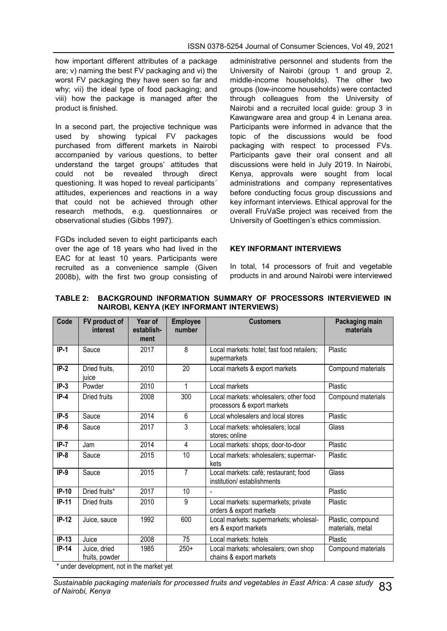how important different attributes of a package are; v) naming the best FV packaging and vi) the worst FV packaging they have seen so far and why; vii) the ideal type of food packaging; and viii) how the package is managed after the product is finished.

In a second part, the projective technique was used by showing typical FV packages purchased from different markets in Nairobi accompanied by various questions, to better understand the target groups' attitudes that could not be revealed through direct questioning. It was hoped to reveal participants´ attitudes, experiences and reactions in a way that could not be achieved through other research methods, e.g. questionnaires or observational studies (Gibbs 1997).

FGDs included seven to eight participants each over the age of 18 years who had lived in the EAC for at least 10 years. Participants were recruited as a convenience sample (Given 2008b), with the first two group consisting of

administrative personnel and students from the University of Nairobi (group 1 and group 2, middle-income households). The other two groups (low-income households) were contacted through colleagues from the University of Nairobi and a recruited local guide: group 3 in Kawangware area and group 4 in Lenana area. Participants were informed in advance that the topic of the discussions would be food packaging with respect to processed FVs. Participants gave their oral consent and all discussions were held in July 2019. In Nairobi, Kenya, approvals were sought from local administrations and company representatives before conducting focus group discussions and key informant interviews. Ethical approval for the overall FruVaSe project was received from the University of Goettingen's ethics commission.

#### **KEY INFORMANT INTERVIEWS**

In total, 14 processors of fruit and vegetable products in and around Nairobi were interviewed

| Code    | FV product of<br><b>interest</b> | Year of<br>establish-<br>ment                                                                                                                                                                                                          | <b>Employee</b><br>number | <b>Customers</b>                                                      | Packaging main<br>materials           |
|---------|----------------------------------|----------------------------------------------------------------------------------------------------------------------------------------------------------------------------------------------------------------------------------------|---------------------------|-----------------------------------------------------------------------|---------------------------------------|
| $IP-1$  | Sauce                            | 2017                                                                                                                                                                                                                                   | 8                         | Local markets: hotel; fast food retailers;<br>supermarkets            | Plastic                               |
| $IP-2$  | Dried fruits,<br>juice           | 2010                                                                                                                                                                                                                                   | 20                        | Local markets & export markets                                        | Compound materials                    |
| $IP-3$  | Powder                           | 2010                                                                                                                                                                                                                                   | 1                         | Local markets                                                         | Plastic                               |
| $IP-4$  | Dried fruits                     | 2008                                                                                                                                                                                                                                   | 300                       | Local markets: wholesalers; other food<br>processors & export markets | Compound materials                    |
| $IP-5$  | Sauce                            | 2014                                                                                                                                                                                                                                   | 6                         | Local wholesalers and local stores                                    | Plastic                               |
| $IP-6$  | Sauce                            | 2017                                                                                                                                                                                                                                   | 3                         | Local markets: wholesalers; local<br>stores; online                   | Glass                                 |
| $IP-7$  | Jam                              | 2014                                                                                                                                                                                                                                   | 4                         | Local markets: shops; door-to-door                                    | Plastic                               |
| $IP-8$  | Sauce                            | 2015                                                                                                                                                                                                                                   | 10 <sup>1</sup>           | Local markets: wholesalers; supermar-<br>kets                         | Plastic                               |
| $IP-9$  | Sauce                            | 2015                                                                                                                                                                                                                                   | $\overline{7}$            | Local markets: café; restaurant; food<br>institution/establishments   | Glass                                 |
| $IP-10$ | Dried fruits*                    | 2017                                                                                                                                                                                                                                   | 10                        |                                                                       | Plastic                               |
| $IP-11$ | Dried fruits                     | 2010                                                                                                                                                                                                                                   | 9                         | Local markets: supermarkets; private<br>orders & export markets       | Plastic                               |
| $IP-12$ | Juice, sauce                     | 1992                                                                                                                                                                                                                                   | 600                       | Local markets: supermarkets; wholesal-<br>ers & export markets        | Plastic, compound<br>materials, metal |
| $IP-13$ | Juice                            | 2008                                                                                                                                                                                                                                   | 75                        | Local markets: hotels                                                 | Plastic                               |
| $IP-14$ | Juice, dried<br>fruits, powder   | 1985<br>and the sending of the sending of the sending of the sending of the sending sending sending sending sending sending sending sending sending sending sending sending sending sending sending sending sending sending sending se | $250+$                    | Local markets: wholesalers; own shop<br>chains & export markets       | Compound materials                    |

#### **TABLE 2: BACKGROUND INFORMATION SUMMARY OF PROCESSORS INTERVIEWED IN NAIROBI, KENYA (KEY INFORMANT INTERVIEWS)**

under development, not in the market yet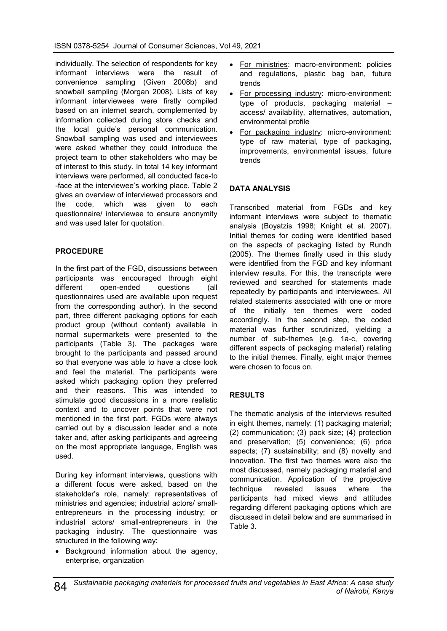individually. The selection of respondents for key informant interviews were the result of convenience sampling (Given 2008b) and snowball sampling (Morgan 2008). Lists of key informant interviewees were firstly compiled based on an internet search, complemented by information collected during store checks and the local guide's personal communication. Snowball sampling was used and interviewees were asked whether they could introduce the project team to other stakeholders who may be of interest to this study. In total 14 key informant interviews were performed, all conducted face-to -face at the interviewee's working place. Table 2 gives an overview of interviewed processors and the code, which was given to each questionnaire/ interviewee to ensure anonymity and was used later for quotation.

## **PROCEDURE**

In the first part of the FGD, discussions between participants was encouraged through eight different open-ended questions (all questionnaires used are available upon request from the corresponding author). In the second part, three different packaging options for each product group (without content) available in normal supermarkets were presented to the participants (Table 3). The packages were brought to the participants and passed around so that everyone was able to have a close look and feel the material. The participants were asked which packaging option they preferred and their reasons. This was intended to stimulate good discussions in a more realistic context and to uncover points that were not mentioned in the first part. FGDs were always carried out by a discussion leader and a note taker and, after asking participants and agreeing on the most appropriate language, English was used.

During key informant interviews, questions with a different focus were asked, based on the stakeholder's role, namely: representatives of ministries and agencies; industrial actors/ smallentrepreneurs in the processing industry; or industrial actors/ small-entrepreneurs in the packaging industry. The questionnaire was structured in the following way:

• Background information about the agency, enterprise, organization

- For ministries: macro-environment: policies and regulations, plastic bag ban, future trends
- For processing industry: micro-environment: type of products, packaging material – access/ availability, alternatives, automation, environmental profile
- For packaging industry: micro-environment: type of raw material, type of packaging*,*  improvements, environmental issues, future trends

## **DATA ANALYSIS**

Transcribed material from FGDs and key informant interviews were subject to thematic analysis (Boyatzis 1998; Knight et al. 2007). Initial themes for coding were identified based on the aspects of packaging listed by Rundh (2005). The themes finally used in this study were identified from the FGD and key informant interview results. For this, the transcripts were reviewed and searched for statements made repeatedly by participants and interviewees. All related statements associated with one or more of the initially ten themes were coded accordingly. In the second step, the coded material was further scrutinized, yielding a number of sub-themes (e.g. 1a-c, covering different aspects of packaging material) relating to the initial themes. Finally, eight major themes were chosen to focus on.

## **RESULTS**

The thematic analysis of the interviews resulted in eight themes, namely: (1) packaging material; (2) communication; (3) pack size; (4) protection and preservation; (5) convenience; (6) price aspects; (7) sustainability; and (8) novelty and innovation. The first two themes were also the most discussed, namely packaging material and communication. Application of the projective technique revealed issues where the participants had mixed views and attitudes regarding different packaging options which are discussed in detail below and are summarised in Table 3.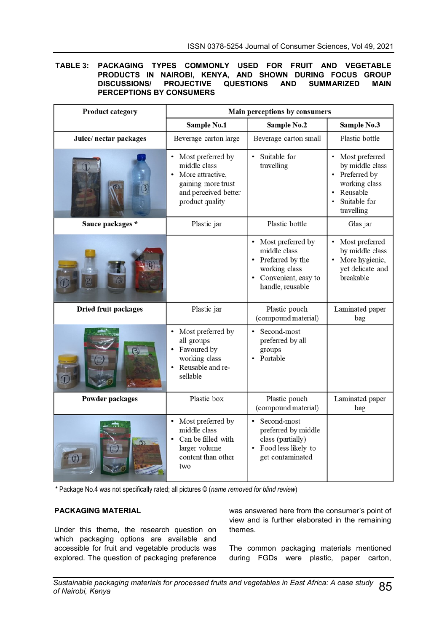#### **TABLE 3: PACKAGING TYPES COMMONLY USED FOR FRUIT AND VEGETABLE PRODUCTS IN NAIROBI, KENYA, AND SHOWN DURING FOCUS GROUP DISCUSSIONS/ PROJECTIVE QUESTIONS AND SUMMARIZED MAIN PERCEPTIONS BY CONSUMERS**

| <b>Product category</b> | Main perceptions by consumers                                                                                            |                                                                                                                     |                                                                                                                       |  |  |
|-------------------------|--------------------------------------------------------------------------------------------------------------------------|---------------------------------------------------------------------------------------------------------------------|-----------------------------------------------------------------------------------------------------------------------|--|--|
|                         | Sample No.1                                                                                                              | Sample No.2                                                                                                         | Sample No.3                                                                                                           |  |  |
| Juice/ nectar packages  | Beverage carton large                                                                                                    | Beverage carton small                                                                                               | Plastic bottle                                                                                                        |  |  |
|                         | • Most preferred by<br>middle class<br>More attractive,<br>gaining more trust<br>and perceived better<br>product quality | Suitable for<br>travelling                                                                                          | • Most preferred<br>by middle class<br>• Preferred by<br>working class<br>Reusable<br>Suitable for<br>٠<br>travelling |  |  |
| Sauce packages *        | Plastic jar                                                                                                              | Plastic bottle                                                                                                      | Glas jar                                                                                                              |  |  |
|                         |                                                                                                                          | Most preferred by<br>middle class<br>Preferred by the<br>working class<br>• Convenient, easy to<br>handle, reusable | Most preferred<br>by middle class<br>More hygienic,<br>yet delicate and<br>breakable                                  |  |  |
| Dried fruit packages    | Plastic jar                                                                                                              | Plastic pouch<br>(compound material)                                                                                | Laminated paper<br>bag                                                                                                |  |  |
|                         | Most preferred by<br>all groups<br>• Favoured by<br>working class<br>• Reusable and re-<br>sellable                      | Second-most<br>preferred by all<br>groups<br>Portable                                                               |                                                                                                                       |  |  |
| Powder packages         | Plastic box                                                                                                              | Plastic pouch<br>(compound material)                                                                                | Laminated paper<br>bag                                                                                                |  |  |
| $\mathbf{C}$            | Most preferred by<br>middle class<br>Can be filled with<br>larger volume<br>content than other<br>two                    | Second-most<br>preferred by middle<br>class (partially)<br>Food less likely to<br>get contaminated                  |                                                                                                                       |  |  |

\* Package No.4 was not specifically rated; all pictures © (*name removed for blind review*)

#### **PACKAGING MATERIAL**

Under this theme, the research question on which packaging options are available and accessible for fruit and vegetable products was explored. The question of packaging preference was answered here from the consumer's point of view and is further elaborated in the remaining themes.

The common packaging materials mentioned during FGDs were plastic, paper carton,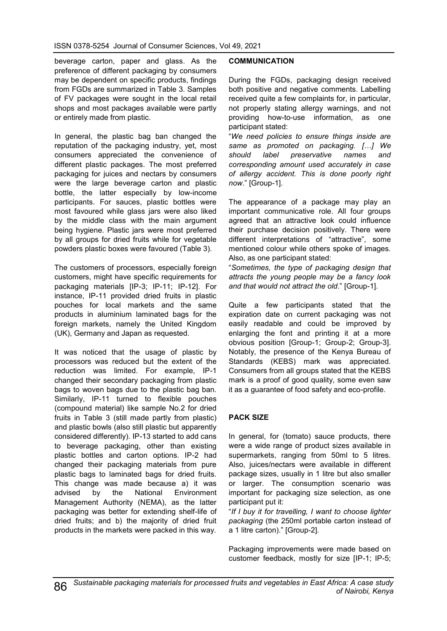beverage carton, paper and glass. As the preference of different packaging by consumers may be dependent on specific products, findings from FGDs are summarized in Table 3. Samples of FV packages were sought in the local retail shops and most packages available were partly or entirely made from plastic.

In general, the plastic bag ban changed the reputation of the packaging industry, yet, most consumers appreciated the convenience of different plastic packages. The most preferred packaging for juices and nectars by consumers were the large beverage carton and plastic bottle, the latter especially by low-income participants. For sauces, plastic bottles were most favoured while glass jars were also liked by the middle class with the main argument being hygiene. Plastic jars were most preferred by all groups for dried fruits while for vegetable powders plastic boxes were favoured (Table 3).

The customers of processors, especially foreign customers, might have specific requirements for packaging materials [IP-3; IP-11; IP-12]. For instance, IP-11 provided dried fruits in plastic pouches for local markets and the same products in aluminium laminated bags for the foreign markets, namely the United Kingdom (UK), Germany and Japan as requested.

It was noticed that the usage of plastic by processors was reduced but the extent of the reduction was limited. For example, IP-1 changed their secondary packaging from plastic bags to woven bags due to the plastic bag ban. Similarly, IP-11 turned to flexible pouches (compound material) like sample No.2 for dried fruits in Table 3 (still made partly from plastic) and plastic bowls (also still plastic but apparently considered differently). IP-13 started to add cans to beverage packaging, other than existing plastic bottles and carton options. IP-2 had changed their packaging materials from pure plastic bags to laminated bags for dried fruits. This change was made because a) it was advised by the National Environment Management Authority (NEMA), as the latter packaging was better for extending shelf-life of dried fruits; and b) the majority of dried fruit products in the markets were packed in this way.

## **COMMUNICATION**

During the FGDs, packaging design received both positive and negative comments. Labelling received quite a few complaints for, in particular, not properly stating allergy warnings, and not providing how-to-use information, as one participant stated:

"*We need policies to ensure things inside are same as promoted on packaging. […] We should label preservative names and corresponding amount used accurately in case of allergy accident. This is done poorly right now*." [Group-1].

The appearance of a package may play an important communicative role. All four groups agreed that an attractive look could influence their purchase decision positively. There were different interpretations of "attractive", some mentioned colour while others spoke of images. Also, as one participant stated:

"*Sometimes, the type of packaging design that attracts the young people may be a fancy look and that would not attract the old*." [Group-1].

Quite a few participants stated that the expiration date on current packaging was not easily readable and could be improved by enlarging the font and printing it at a more obvious position [Group-1; Group-2; Group-3]. Notably, the presence of the Kenya Bureau of Standards (KEBS) mark was appreciated. Consumers from all groups stated that the KEBS mark is a proof of good quality, some even saw it as a guarantee of food safety and eco-profile.

## **PACK SIZE**

In general, for (tomato) sauce products, there were a wide range of product sizes available in supermarkets, ranging from 50ml to 5 litres. Also, juices/nectars were available in different package sizes, usually in 1 litre but also smaller or larger. The consumption scenario was important for packaging size selection, as one participant put it:

"*If I buy it for travelling, I want to choose lighter packaging* (the 250ml portable carton instead of a 1 litre carton)." [Group-2].

Packaging improvements were made based on customer feedback, mostly for size [IP-1; IP-5;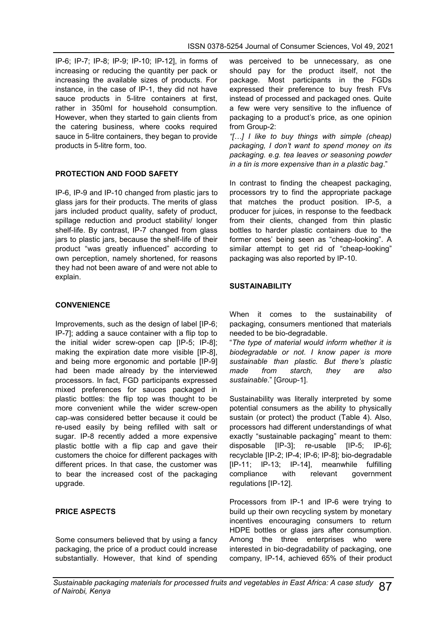IP-6; IP-7; IP-8; IP-9; IP-10; IP-12], in forms of increasing or reducing the quantity per pack or increasing the available sizes of products. For instance, in the case of IP-1, they did not have sauce products in 5-litre containers at first, rather in 350ml for household consumption. However, when they started to gain clients from the catering business, where cooks required sauce in 5-litre containers, they began to provide products in 5-litre form, too.

## **PROTECTION AND FOOD SAFETY**

IP-6, IP-9 and IP-10 changed from plastic jars to glass jars for their products. The merits of glass jars included product quality, safety of product, spillage reduction and product stability/ longer shelf-life. By contrast, IP-7 changed from glass jars to plastic jars, because the shelf-life of their product "was greatly influenced" according to own perception, namely shortened, for reasons they had not been aware of and were not able to explain.

## **CONVENIENCE**

Improvements, such as the design of label [IP-6; IP-7]; adding a sauce container with a flip top to the initial wider screw-open cap [IP-5; IP-8]; making the expiration date more visible [IP-8], and being more ergonomic and portable [IP-9] had been made already by the interviewed processors. In fact, FGD participants expressed mixed preferences for sauces packaged in plastic bottles: the flip top was thought to be more convenient while the wider screw-open cap was considered better because it could be re-used easily by being refilled with salt or sugar. IP-8 recently added a more expensive plastic bottle with a flip cap and gave their customers the choice for different packages with different prices. In that case, the customer was to bear the increased cost of the packaging upgrade.

## **PRICE ASPECTS**

Some consumers believed that by using a fancy packaging, the price of a product could increase substantially. However, that kind of spending was perceived to be unnecessary, as one should pay for the product itself, not the package. Most participants in the FGDs expressed their preference to buy fresh FVs instead of processed and packaged ones. Quite a few were very sensitive to the influence of packaging to a product's price, as one opinion from Group-2:

*"[…] I like to buy things with simple (cheap) packaging, I don't want to spend money on its packaging. e.g. tea leaves or seasoning powder in a tin is more expensive than in a plastic bag*."

In contrast to finding the cheapest packaging, processors try to find the appropriate package that matches the product position. IP-5, a producer for juices, in response to the feedback from their clients, changed from thin plastic bottles to harder plastic containers due to the former ones' being seen as "cheap-looking". A similar attempt to get rid of "cheap-looking" packaging was also reported by IP-10.

## **SUSTAINABILITY**

When it comes to the sustainability of packaging, consumers mentioned that materials needed to be bio-degradable.

"*The type of material would inform whether it is biodegradable or not. I know paper is more sustainable than plastic. But there's plastic made from starch, they are also sustainable*." [Group-1].

Sustainability was literally interpreted by some potential consumers as the ability to physically sustain (or protect) the product (Table 4). Also, processors had different understandings of what exactly "sustainable packaging" meant to them: disposable [IP-3]; re-usable [IP-5; IP-6]; recyclable [IP-2; IP-4; IP-6; IP-8]; bio-degradable [IP-11; IP-13; IP-14], meanwhile fulfilling compliance with relevant government regulations [IP-12].

Processors from IP-1 and IP-6 were trying to build up their own recycling system by monetary incentives encouraging consumers to return HDPE bottles or glass jars after consumption. Among the three enterprises who were interested in bio-degradability of packaging, one company, IP-14, achieved 65% of their product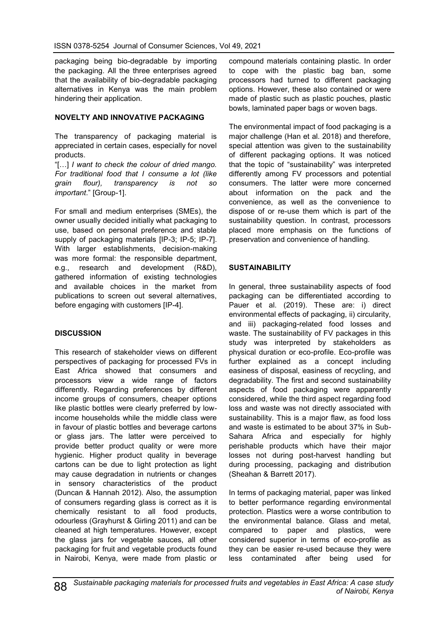packaging being bio-degradable by importing the packaging. All the three enterprises agreed that the availability of bio-degradable packaging alternatives in Kenya was the main problem hindering their application.

### **NOVELTY AND INNOVATIVE PACKAGING**

The transparency of packaging material is appreciated in certain cases, especially for novel products.

"[…] *I want to check the colour of dried mango. For traditional food that I consume a lot (like grain flour), transparency is not so important*." [Group-1].

For small and medium enterprises (SMEs), the owner usually decided initially what packaging to use, based on personal preference and stable supply of packaging materials [IP-3; IP-5; IP-7]. With larger establishments, decision-making was more formal: the responsible department, e.g., research and development (R&D), gathered information of existing technologies and available choices in the market from publications to screen out several alternatives, before engaging with customers [IP-4].

## **DISCUSSION**

This research of stakeholder views on different perspectives of packaging for processed FVs in East Africa showed that consumers and processors view a wide range of factors differently. Regarding preferences by different income groups of consumers, cheaper options like plastic bottles were clearly preferred by lowincome households while the middle class were in favour of plastic bottles and beverage cartons or glass jars. The latter were perceived to provide better product quality or were more hygienic. Higher product quality in beverage cartons can be due to light protection as light may cause degradation in nutrients or changes in sensory characteristics of the product (Duncan & Hannah 2012). Also, the assumption of consumers regarding glass is correct as it is chemically resistant to all food products, odourless (Grayhurst & Girling 2011) and can be cleaned at high temperatures. However, except the glass jars for vegetable sauces, all other packaging for fruit and vegetable products found in Nairobi, Kenya, were made from plastic or

compound materials containing plastic. In order to cope with the plastic bag ban, some processors had turned to different packaging options. However, these also contained or were made of plastic such as plastic pouches, plastic bowls, laminated paper bags or woven bags.

The environmental impact of food packaging is a major challenge (Han et al. 2018) and therefore, special attention was given to the sustainability of different packaging options. It was noticed that the topic of "sustainability" was interpreted differently among FV processors and potential consumers. The latter were more concerned about information on the pack and the convenience, as well as the convenience to dispose of or re-use them which is part of the sustainability question. In contrast, processors placed more emphasis on the functions of preservation and convenience of handling.

## **SUSTAINABILITY**

In general, three sustainability aspects of food packaging can be differentiated according to Pauer et al. (2019). These are: i) direct environmental effects of packaging, ii) circularity, and iii) packaging-related food losses and waste. The sustainability of FV packages in this study was interpreted by stakeholders as physical duration or eco-profile. Eco-profile was further explained as a concept including easiness of disposal, easiness of recycling, and degradability. The first and second sustainability aspects of food packaging were apparently considered, while the third aspect regarding food loss and waste was not directly associated with sustainability. This is a major flaw, as food loss and waste is estimated to be about 37% in Sub-Sahara Africa and especially for highly perishable products which have their major losses not during post-harvest handling but during processing, packaging and distribution (Sheahan & Barrett 2017).

In terms of packaging material, paper was linked to better performance regarding environmental protection. Plastics were a worse contribution to the environmental balance. Glass and metal, compared to paper and plastics, were considered superior in terms of eco-profile as they can be easier re-used because they were less contaminated after being used for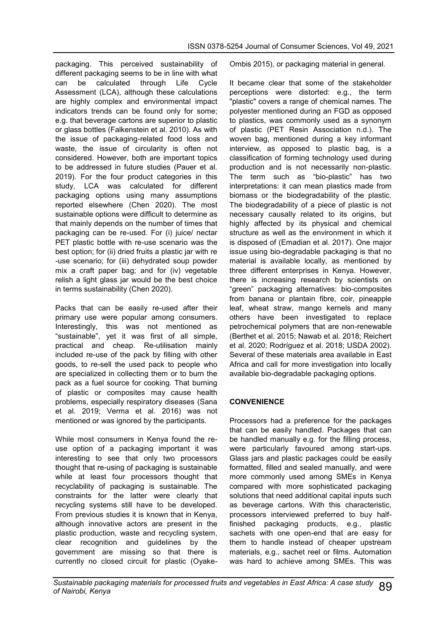packaging. This perceived sustainability of different packaging seems to be in line with what can be calculated through Life Cycle Assessment (LCA), although these calculations are highly complex and environmental impact indicators trends can be found only for some; e.g. that beverage cartons are superior to plastic or glass bottles (Falkenstein et al. 2010). As with the issue of packaging-related food loss and waste, the issue of circularity is often not considered. However, both are important topics to be addressed in future studies (Pauer et al. 2019). For the four product categories in this study, LCA was calculated for different packaging options using many assumptions reported elsewhere (Chen 2020). The most sustainable options were difficult to determine as that mainly depends on the number of times that packaging can be re-used. For (i) juice/ nectar PET plastic bottle with re-use scenario was the best option; for (ii) dried fruits a plastic jar with re -use scenario; for (iii) dehydrated soup powder mix a craft paper bag; and for (iv) vegetable relish a light glass jar would be the best choice in terms sustainability (Chen 2020).

Packs that can be easily re-used after their primary use were popular among consumers. Interestingly, this was not mentioned as "sustainable", yet it was first of all simple, practical and cheap. Re-utilisation mainly included re-use of the pack by filling with other goods, to re-sell the used pack to people who are specialized in collecting them or to burn the pack as a fuel source for cooking. That burning of plastic or composites may cause health problems, especially respiratory diseases (Sana et al. 2019; Verma et al. 2016) was not mentioned or was ignored by the participants.

While most consumers in Kenya found the reuse option of a packaging important it was interesting to see that only two processors thought that re-using of packaging is sustainable while at least four processors thought that recyclability of packaging is sustainable. The constraints for the latter were clearly that recycling systems still have to be developed. From previous studies it is known that in Kenya, although innovative actors are present in the plastic production, waste and recycling system, clear recognition and guidelines by the government are missing so that there is currently no closed circuit for plastic (OyakeOmbis 2015), or packaging material in general.

It became clear that some of the stakeholder perceptions were distorted: e.g., the term "plastic" covers a range of chemical names. The polyester mentioned during an FGD as opposed to plastics, was commonly used as a synonym of plastic (PET Resin Association n.d.). The woven bag, mentioned during a key informant interview, as opposed to plastic bag, is a classification of forming technology used during production and is not necessarily non-plastic. The term such as "bio-plastic" has two interpretations: it can mean plastics made from biomass or the biodegradability of the plastic. The biodegradability of a piece of plastic is not necessary causally related to its origins, but highly affected by its physical and chemical structure as well as the environment in which it is disposed of (Emadian et al. 2017). One major issue using bio-degradable packaging is that no material is available locally, as mentioned by three different enterprises in Kenya. However, there is increasing research by scientists on "green" packaging alternatives: bio-composites from banana or plantain fibre, coir, pineapple leaf, wheat straw, mango kernels and many others have been investigated to replace petrochemical polymers that are non-renewable (Berthet et al. 2015; Nawab et al. 2018; Reichert et al. 2020; Rodríguez et al. 2018; USDA 2002). Several of these materials area available in East Africa and call for more investigation into locally available bio-degradable packaging options.

## **CONVENIENCE**

Processors had a preference for the packages that can be easily handled. Packages that can be handled manually e.g. for the filling process, were particularly favoured among start-ups. Glass jars and plastic packages could be easily formatted, filled and sealed manually, and were more commonly used among SMEs in Kenya compared with more sophisticated packaging solutions that need additional capital inputs such as beverage cartons. With this characteristic, processors interviewed preferred to buy halffinished packaging products, e.g., plastic sachets with one open-end that are easy for them to handle instead of cheaper upstream materials, e.g., sachet reel or films. Automation was hard to achieve among SMEs. This was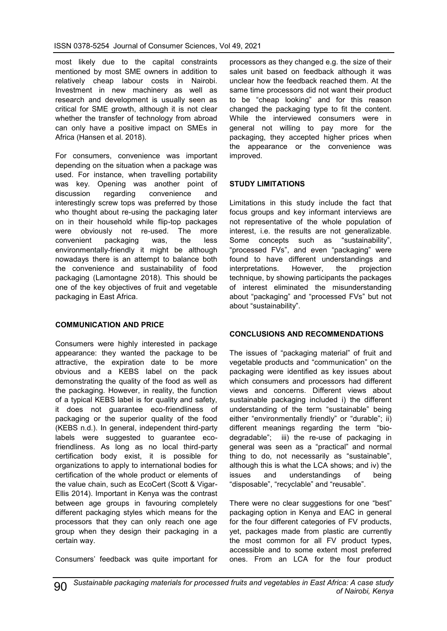most likely due to the capital constraints mentioned by most SME owners in addition to relatively cheap labour costs in Nairobi. Investment in new machinery as well as research and development is usually seen as critical for SME growth, although it is not clear whether the transfer of technology from abroad can only have a positive impact on SMEs in Africa (Hansen et al. 2018).

For consumers, convenience was important depending on the situation when a package was used. For instance, when travelling portability was key. Opening was another point of discussion regarding convenience and interestingly screw tops was preferred by those who thought about re-using the packaging later on in their household while flip-top packages were obviously not re-used. The more convenient packaging was, the less environmentally-friendly it might be although nowadays there is an attempt to balance both the convenience and sustainability of food packaging (Lamontagne 2018). This should be one of the key objectives of fruit and vegetable packaging in East Africa.

## **COMMUNICATION AND PRICE**

Consumers were highly interested in package appearance: they wanted the package to be attractive, the expiration date to be more obvious and a KEBS label on the pack demonstrating the quality of the food as well as the packaging. However, in reality, the function of a typical KEBS label is for quality and safety, it does not guarantee eco-friendliness of packaging or the superior quality of the food (KEBS n.d.). In general, independent third-party labels were suggested to guarantee ecofriendliness. As long as no local third-party certification body exist, it is possible for organizations to apply to international bodies for certification of the whole product or elements of the value chain, such as EcoCert (Scott & Vigar-Ellis 2014). Important in Kenya was the contrast between age groups in favouring completely different packaging styles which means for the processors that they can only reach one age group when they design their packaging in a certain way.

Consumers' feedback was quite important for

processors as they changed e.g. the size of their sales unit based on feedback although it was unclear how the feedback reached them. At the same time processors did not want their product to be "cheap looking" and for this reason changed the packaging type to fit the content. While the interviewed consumers were in general not willing to pay more for the packaging, they accepted higher prices when the appearance or the convenience was improved.

## **STUDY LIMITATIONS**

Limitations in this study include the fact that focus groups and key informant interviews are not representative of the whole population of interest, i.e. the results are not generalizable. Some concepts such as "sustainability", "processed FVs", and even "packaging" were found to have different understandings and interpretations. However, the projection technique, by showing participants the packages of interest eliminated the misunderstanding about "packaging" and "processed FVs" but not about "sustainability".

## **CONCLUSIONS AND RECOMMENDATIONS**

The issues of "packaging material" of fruit and vegetable products and "communication" on the packaging were identified as key issues about which consumers and processors had different views and concerns. Different views about sustainable packaging included i) the different understanding of the term "sustainable" being either "environmentally friendly" or "durable"; ii) different meanings regarding the term "biodegradable"; iii) the re-use of packaging in general was seen as a "practical" and normal thing to do, not necessarily as "sustainable", although this is what the LCA shows; and iv) the issues and understandings of being "disposable", "recyclable" and "reusable".

There were no clear suggestions for one "best" packaging option in Kenya and EAC in general for the four different categories of FV products, yet, packages made from plastic are currently the most common for all FV product types, accessible and to some extent most preferred ones. From an LCA for the four product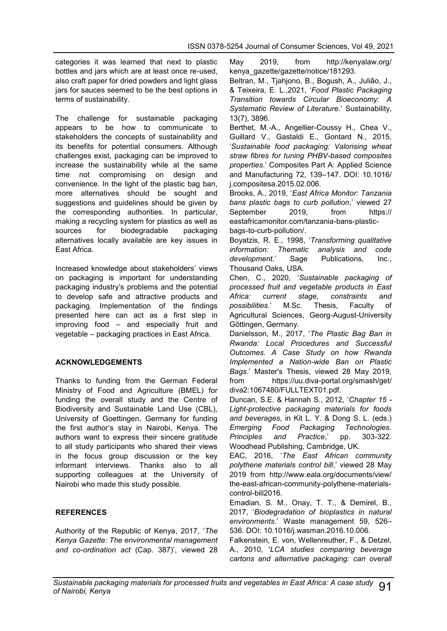categories it was learned that next to plastic bottles and jars which are at least once re-used, also craft paper for dried powders and light glass jars for sauces seemed to be the best options in terms of sustainability.

The challenge for sustainable packaging appears to be how to communicate to stakeholders the concepts of sustainability and its benefits for potential consumers. Although challenges exist, packaging can be improved to increase the sustainability while at the same time not compromising on design and convenience. In the light of the plastic bag ban, more alternatives should be sought and suggestions and guidelines should be given by the corresponding authorities. In particular, making a recycling system for plastics as well as sources for biodegradable packaging alternatives locally available are key issues in East Africa.

Increased knowledge about stakeholders' views on packaging is important for understanding packaging industry's problems and the potential to develop safe and attractive products and packaging. Implementation of the findings presented here can act as a first step in improving food – and especially fruit and vegetable – packaging practices in East Africa.

## **ACKNOWLEDGEMENTS**

Thanks to funding from the German Federal Ministry of Food and Agriculture (BMEL) for funding the overall study and the Centre of Biodiversity and Sustainable Land Use (CBL), University of Goettingen, Germany for funding the first author's stay in Nairobi, Kenya. The authors want to express their sincere gratitude to all study participants who shared their views in the focus group discussion or the key informant interviews. Thanks also to all supporting colleagues at the University of Nairobi who made this study possible.

## **REFERENCES**

Authority of the Republic of Kenya, 2017, '*The Kenya Gazette: The environmental management and co-ordination act* (Cap. 387)', viewed 28 May 2019, from http://kenyalaw.org/ kenya\_gazette/gazette/notice/181293.

Beltran, M., Tjahjono, B., Bogush, A., Julião, J., & Teixeira, E. L.,2021, '*Food Plastic Packaging Transition towards Circular Bioeconomy: A Systematic Review of Literature*.' Sustainability, 13(7), 3896.

Berthet, M.-A., Angellier-Coussy H., Chea V., Guillard V., Gastaldi E., Gontard N., 2015, '*Sustainable food packaging: Valorising wheat straw fibres for tuning PHBV-based composites properties*.' Composites Part A: Applied Science and Manufacturing 72, 139–147. DOI: 10.1016/ j.compositesa.2015.02.006.

Brooks, A., 2019, '*East Africa Monitor: Tanzania bans plastic bags to curb pollution*,' viewed 27 September 2019, from https:// eastafricamonitor.com/tanzania-bans-plasticbags-to-curb-pollution/.

Boyatzis, R. E., 1998, '*Transforming qualitative information: Thematic analysis and code development*.' Sage Publications, Inc., Thousand Oaks, USA.

Chen, C., 2020, '*Sustainable packaging of processed fruit and vegetable products in East Africa: current stage, constraints and possibilities*.' M.Sc. Thesis, Faculty of Agricultural Sciences, Georg-August-University Göttingen, Germany.

Danielsson, M., 2017, '*The Plastic Bag Ban in Rwanda: Local Procedures and Successful Outcomes. A Case Study on how Rwanda Implemented a Nation-wide Ban on Plastic Bags*.' Master's Thesis, viewed 28 May 2019, from https://uu.diva-portal.org/smash/get/ diva2:1067480/FULLTEXT01.pdf.

Duncan, S.E. & Hannah S., 2012, '*Chapter 15 - Light-protective packaging materials for foods and beverages*, in Kit L. Y. & Dong S. L. (eds.) *Emerging Food Packaging Technologies. Principles and Practice*,' pp. 303-322. Woodhead Publishing, Cambridge, UK.

EAC, 2016, '*The East African community polythene materials control bill*,' viewed 28 May 2019 from http://www.eala.org/documents/view/ the-east-african-community-polythene-materialscontrol-bill2016.

Emadian, S. M., Onay, T. T., & Demirel, B., 2017, '*Biodegradation of bioplastics in natural environments*.' Waste management 59, 526– 536. DOI: 10.1016/j.wasman.2016.10.006.

Falkenstein, E. von, Wellenreuther, F., & Detzel, A., 2010, '*LCA studies comparing beverage cartons and alternative packaging: can overall*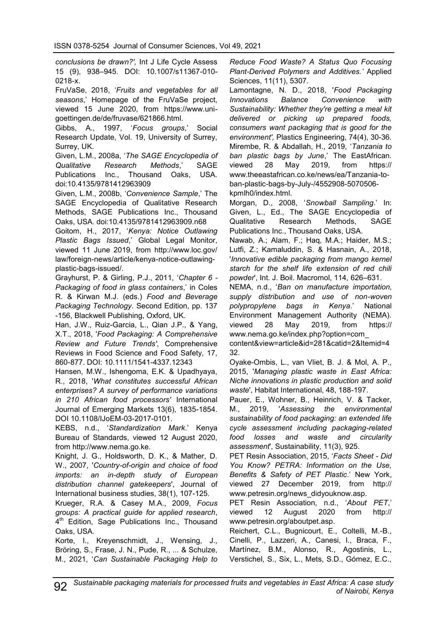*conclusions be drawn?',* Int J Life Cycle Assess 15 (9), 938–945. DOI: 10.1007/s11367-010- 0218-x.

FruVaSe, 2018, '*Fruits and vegetables for all seasons*,' Homepage of the FruVaSe project, viewed 15 June 2020, from https://www.unigoettingen.de/de/fruvase/621866.html.

Gibbs, A., 1997, '*Focus groups*,' Social Research Update, Vol. 19, University of Surrey, Surrey, UK.

Given, L.M., 2008a, '*The SAGE Encyclopedia of Qualitative Research Methods*,' SAGE Publications Inc., Thousand Oaks, USA. doi:10.4135/9781412963909

Given, L.M., 2008b, '*Convenience Sample*,' The SAGE Encyclopedia of Qualitative Research Methods, SAGE Publications Inc., Thousand Oaks, USA. doi:10.4135/9781412963909.n68

Goitom, H., 2017, '*Kenya: Notice Outlawing Plastic Bags Issued*,' Global Legal Monitor, viewed 11 June 2019, from http://www.loc.gov/ law/foreign-news/article/kenya-notice-outlawingplastic-bags-issued/.

Grayhurst, P. & Girling, P.J., 2011, '*Chapter 6 - Packaging of food in glass containers*,' in Coles R. & Kirwan M.J. (eds.) *Food and Beverage Packaging Technology*. Second Edition, pp. 137 -156, Blackwell Publishing, Oxford, UK.

Han, J.W., Ruiz-Garcia, L., Qian J.P., & Yang, X.T., 2018, '*Food Packaging: A Comprehensive Review and Future Trends'*, Comprehensive Reviews in Food Science and Food Safety, 17, 860-877. DOI: 10.1111/1541-4337.12343

Hansen, M.W., Ishengoma, E.K. & Upadhyaya, R., 2018, '*What constitutes successful African enterprises? A survey of performance variations in 210 African food processors'* International Journal of Emerging Markets 13(6), 1835-1854. DOI 10.1108/IJoEM-03-2017-0101.

KEBS, n.d., '*Standardization Mark*.' Kenya Bureau of Standards, viewed 12 August 2020, from [http://www.nema.go.ke.](http://www.nema.go.ke)

Knight, J. G., Holdsworth, D. K., & Mather, D. W., 2007, '*Country-of-origin and choice of food imports: an in-depth study of European distribution channel gatekeepers*', Journal of International business studies, 38(1), 107-125.

Krueger, R.A. & Casey M.A., 2009, *Focus groups: A practical guide for applied research*, 4<sup>th</sup> Edition, Sage Publications Inc., Thousand Oaks, USA.

Korte, I., Kreyenschmidt, J., Wensing, J., Bröring, S., Frase, J. N., Pude, R., ... & Schulze, M., 2021, '*Can Sustainable Packaging Help to* *Reduce Food Waste? A Status Quo Focusing Plant-Derived Polymers and Additives.'* Applied Sciences, 11(11), 5307.

Lamontagne, N. D., 2018, '*Food Packaging Innovations Balance Convenience with Sustainability: Whether they're getting a meal kit delivered or picking up prepared foods, consumers want packaging that is good for the environment',* Plastics Engineering, 74(4), 30-36. Mirembe, R. & Abdallah, H., 2019, '*Tanzania to ban plastic bags by June*,' The EastAfrican. viewed 28 May 2019, from https:// www.theeastafrican.co.ke/news/ea/Tanzania-toban-plastic-bags-by-July-/4552908-5070506 kpmlh0/index.html.

Morgan, D., 2008, '*Snowball Sampling*.' In: Given, L., Ed., The SAGE Encyclopedia of Qualitative Research Methods, SAGE Publications Inc., Thousand Oaks, USA.

Nawab, A.; Alam, F.; Haq, M.A.; Haider, M.S.; Lutfi, Z.; Kamaluddin, S. & Hasnain, A., 2018, '*Innovative edible packaging from mango kernel starch for the shelf life extension of red chili powder*', Int. J. Boil. Macromol, 114, 626–631.

NEMA, n.d., '*Ban on manufacture importation, supply distribution and use of non-woven polypropylene bags in Kenya*.' National Environment Management Authority (NEMA). viewed 28 May 2019, from https:// www.nema.go.ke/index.php?option=com\_

content&view=article&id=281&catid=2&Itemid=4 32.

Oyake-Ombis, L., van Vliet, B. J. & Mol, A. P., 2015, '*Managing plastic waste in East Africa: Niche innovations in plastic production and solid waste*', Habitat International, 48, 188-197.

Pauer, E., Wohner, B., Heinrich, V. & Tacker, M., 2019, '*Assessing the environmental sustainability of food packaging: an extended life cycle assessment including packaging-related food losses and waste and circularity assessment*', Sustainability, 11(3), 925.

PET Resin Association, 2015, '*Facts Sheet - Did You Know? PETRA: Information on the Use, Benefits & Safety of PET Plastic*.' New York, viewed 27 December 2019, from http:// www.petresin.org/news\_didyouknow.asp.

PET Resin Association, n.d., '*About PET*,' viewed 12 August 2020 from http:// www.petresin.org/aboutpet.asp.

Reichert, C.L., Bugnicourt, E., Coltelli, M.-B., Cinelli, P., Lazzeri, A., Canesi, I., Braca, F., Martínez, B.M., Alonso, R., Agostinis, L., Verstichel, S., Six, L., Mets, S.D., Gómez, E.C.,